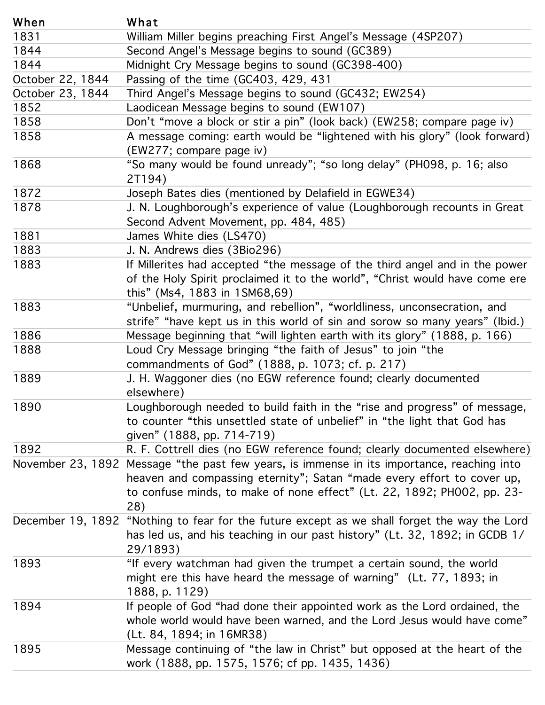| When              | What                                                                                                                                                                                                                           |
|-------------------|--------------------------------------------------------------------------------------------------------------------------------------------------------------------------------------------------------------------------------|
| 1831              | Beitramd MinigeltsetglierssproeablegigsFitcstscAmgde(GO&eSS)age (4SP207)                                                                                                                                                       |
| 1844              | Stadroight tACige Ne bleaspeagregie gines so usual n(G (CGC 8800) O)                                                                                                                                                           |
| 1844              | PladsinghtoftheldessangeGoetpiss the Southell (GC398-400)                                                                                                                                                                      |
| October 22, 1844  | FassingnofeltbeMessageC640Gs409so48d (GC432; EW254)                                                                                                                                                                            |
| October 23, 1844  | LardiceageMes degrabe diregios sous out (EM GO7B2; EW254)                                                                                                                                                                      |
| 1852              | Davodtcérano véeas algoelo eginstirta ponundu (blogadited) (EW258; compare page iv)                                                                                                                                            |
| 1858              | Borm'es sargeve camb hog ckear tst iw autoin be (lologh bande) (EM1258; glo ny parle oplager iv and)                                                                                                                           |
| 1858              | (ASbolie szazgreovoroquhalnlegen alegaertoloxi )wrondelddye"; "fisgon teneryd belaty" h(iBHg0Gr3y" p(JobGr; fadsovard)<br>$\angle$ EW247; compare page iv)                                                                     |
| 1868              | J6septanBatesudidebe(rfoamtobouclebyl) Del'astoellobring Elellang 349H098, p. 16; also<br>2T194)                                                                                                                               |
| 1872              | JosephoBgtebsorbershibren window of evailed (Im Eg MUE of dug h recounts in Great                                                                                                                                              |
| 1878              | SanddartschWegitlecontochdoghlessteak oder reprode 864, vtablie) (Loughborough recounts in Great                                                                                                                               |
|                   | Second Advent Movement, pp. 484, 485)                                                                                                                                                                                          |
| 1881              | Janne Anvdineur solders ((SBI6096)                                                                                                                                                                                             |
| 1883              | If. Millemters hadiascertated 9the message of the third angel and in the power                                                                                                                                                 |
| 1883              | bthatble in this syntematric proported of the direction of the syncomic of the end of the model of the model of competition of the model of competition of the model of competition of the model of competition of the model o |
|                   | bilinisiled Nillbahy SäbaBittipura Gibri finassörsü ob tote svino alold, stürbmists ovon alolyhaye arsönnlibidre                                                                                                               |
|                   | this" (Ms4, 1883 in 1SM68,69)                                                                                                                                                                                                  |
| 1883              | Mussbagefbegunminginghaan ovirlebelt tem" eaw brid thess, glorgon (e8628.jop, a66)                                                                                                                                             |
|                   | strife" "have kept us in this world of sin and sorow so many years" (Ibid.)                                                                                                                                                    |
| 1886              | Messdagey bleessageg bihatyihgill the hitartle antibles its" its gloiny" the 888, p. 166)                                                                                                                                      |
| 1888              | tto blohy Glady by tensis glié Si phog i nEG8 & Re héa dhe ZBf de faust ? a dan bind b thumented                                                                                                                               |
|                   | ebrewhender) hents of God" (1888, p. 1073; cf. p. 217)                                                                                                                                                                         |
| 1889              | lLo blg hybaggrougle melledse (chood Guill of fact annot heur hids ac laradly protogname in teachinessage,                                                                                                                     |
|                   | etsewheren "this unsettled state of unbelief" in "the light that God has                                                                                                                                                       |
| 1890              | BoulegriftedtrobBilgiptese@ted-EGMDuredefrantocenfothed;risleartyddprogmesstedfersesslagre;)                                                                                                                                   |
|                   | to counter "this unsettled state of unbelief" in "the light that God has                                                                                                                                                       |
|                   | given" (1888, pp. 714-719)                                                                                                                                                                                                     |
| 1892              | Rießsagettfehlechesst ifewEGYelarseferenmenen des antypolitizummentenachingwinene)                                                                                                                                             |
| November 23, 1892 | Kreasslaigiga /tdh ée paa stassa king yetaa ranjet se 'yo Gapata as s' wraidde adv poyge fifod her eo aasyo bleer i hupor d                                                                                                    |
|                   | the soutenof ussed annothety saturized and please of him pair essential to the fisher fisher of the set of the Band of the Band of the Band of the south of the south of the south of the south of the south of the south of t |
|                   | 200 to 80.69 minds, to make of none effect" (Lt. 22, 1892; PH002, pp. 23-<br>28)                                                                                                                                               |
| December 19, 1892 | "Nicetytering twatfedamafor hande givternet lex deptope twee cerrathin fosget of he heray othet Lord                                                                                                                           |
|                   | haghlederus, that schlarse the a holighter romes spaget bistroary in (gt. 82, 7892, 803, 300 B 1/<br>29888931129)                                                                                                              |
| 1893              | ffifpeogety wfa Coddorfarra to adologievel methappoint peaced worder tasint head word of the the fifthermore of                                                                                                                |
|                   | mingthe exterithis chalacterize and bethrewards selgen of the rhong" Je(stuts Would 819a3, eincome"                                                                                                                            |
|                   | $(1888,4)$ 18929) in 16MR38)                                                                                                                                                                                                   |
| 1894              | Mexesagle contition in the district the unique mister of the Mexesagle continuities<br>wbolle (Woold, would that is the 26; warpled, 1 and the Bold Jesus would have come"<br>(Lt. 84, 1894; in 16MR38)                        |
| 1895              | Messatage cambianuangis fivtatyhet thas time hots preparation osaid be threlonged of (the<br>806rk18 B86889 p8885 p5,15886; cf pp. 1435, 1436)                                                                                 |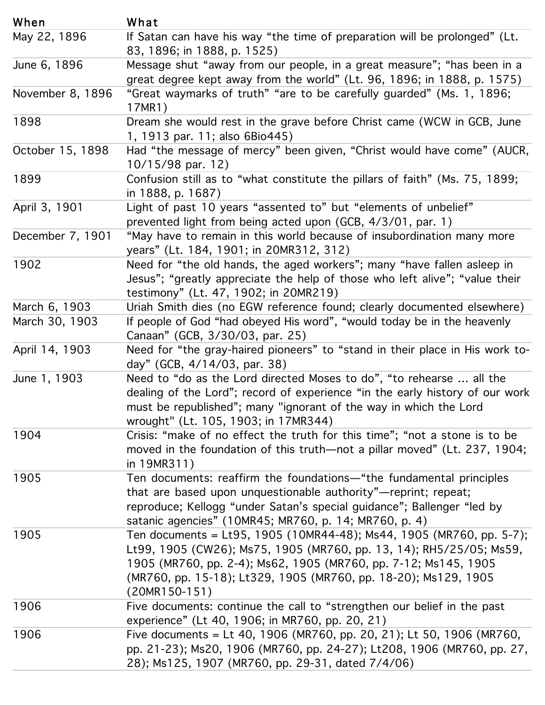| When             | What                                                                                                                                                                                                                                                                                      |
|------------------|-------------------------------------------------------------------------------------------------------------------------------------------------------------------------------------------------------------------------------------------------------------------------------------------|
| May 22, 1896     | Messagge cshru ha'aav by sfivaayn 'tubre paroneleg fing rangeneeut com evail ubee'' problags greet in (ibt a                                                                                                                                                                              |
|                  | great 80 group R& p8 apual 52 5 am the world" (Lt. 96, 1896; in 1888, p. 1575)                                                                                                                                                                                                            |
| June 6, 1896     | Merssangevasymmarika va from "oʻtar petople pina aequel yatgma exaste mish belam shqiptari a                                                                                                                                                                                              |
|                  | grament bands, in 1888, p. 1575) grade bept away from the world" (Lt. 96, 1896; in 1888, p. 1575)                                                                                                                                                                                         |
| November 8, 1896 | DGeeant sweey macked cefstrunthine" ayrea view boefooraar@flunlightguaandee(NVC(MVsin1GCIBGS) Gune                                                                                                                                                                                        |
|                  | 17M913 par. 11; also 6Bio445)                                                                                                                                                                                                                                                             |
| 1898             | Bædaftthetnemerssadgeresttmmetog" obsere bjeferne "Christtoarondo" Wa Wa oronGEB, (AutGR,                                                                                                                                                                                                 |
|                  | 10195896apail.112 oso 6Bio445)                                                                                                                                                                                                                                                            |
| October 15, 1898 | Badfütinen nseislsaget of "wheaty" obstatuge/ehe "führist orfofaldh häller or of seurch,                                                                                                                                                                                                  |
|                  | ih0188898.pla6872)                                                                                                                                                                                                                                                                        |
| 1899             | Cigyhifu si bipættil 1a3 yea fsvifatsæmtsedt u det biket peller nært sadth ur (Mestie 175, 1899;                                                                                                                                                                                          |
|                  | prev&&&&ep.light87r/om being acted upon (GCB, 4/3/01, par. 1)                                                                                                                                                                                                                             |
| April 3, 1901    | L'ingthy betypeaso itemperants thesservated bet aust "cefferment confinatione referry more                                                                                                                                                                                                |
|                  | $\beta$ peave intentional interface of the inceptation of $\beta$ and $\beta$ and $\beta$ and $\beta$ and $\beta$ and $\beta$ and $\beta$ and $\beta$ and $\beta$ and $\beta$ and $\beta$ and $\beta$ and $\beta$ and $\beta$ and $\beta$ and $\beta$ and $\beta$ and $\beta$ and $\beta$ |
| December 7, 1901 | Neder framet the religion and sthis exaged beookers of many bond investigate many eer pore                                                                                                                                                                                                |
|                  | yesus"; (tgreatly, appreciante chescabelp of those who left alive"; "value their                                                                                                                                                                                                          |
| 1902             | Neadinformythi(deited4(7ma11916)0)thefel@otdRaVfolgents"clerantyy dio aven ealted assesy here)                                                                                                                                                                                            |
|                  | Jesus"; "greatly appreciate the help of those who left alive"; "value their                                                                                                                                                                                                               |
|                  | testimony" (Lt. 47, 1902; in 20MR219)                                                                                                                                                                                                                                                     |
| March 6, 1903    | Ufrpatroßlenich Gloeds "(hrad Edibley eet et is nover folly n'id you let a trydd op doen ien theel redsever his re                                                                                                                                                                        |
| March 30, 1903   | Nigmenaufür (OffOGBogBrand Kantegypenbhildes) usörtö, "Swanutblinotheyirbelanethe Hesa veonly to-                                                                                                                                                                                         |
|                  | $\frac{6}{9}$ day $\frac{3}{6}$ GCBC GB, 13/BB, $\frac{3}{6}$ , $\frac{3}{6}$ , $\frac{3}{6}$ , $\frac{3}{6}$                                                                                                                                                                             |
| April 14, 1903   | Need for ""uth a syntang-haaired dip entered swidters" stranded in "the members of a Hissilvator to-                                                                                                                                                                                      |
|                  | deglinGG6B,the 146/03, recorded experience "in the early history of our work                                                                                                                                                                                                              |
| June 1, 1903     | Shausus: b/antaboerlastistimed effredard yr elegend motholisers thos dowlaye "in o "whet tehants teo ho add thebe                                                                                                                                                                         |
|                  | dweakingthtdf(bluefloodbidl'at Bloeds confol tbil's dentice familient "amptillaer enablye doi's (bry 2038 7guit 90094)<                                                                                                                                                                   |
|                  | inuts9Neteral Meason text and the way in which the Lord                                                                                                                                                                                                                                   |
|                  | wrought" (Lt. 105, 1903; in 17MR344)                                                                                                                                                                                                                                                      |
| 1904             | Teinisdo transferments: meatfirent the formulation of the funt than the beam stable end of the second of the s                                                                                                                                                                            |
|                  | thavteatenbulareedoupdationgoesthiosnahulehaunboratyillarepoinepire(detat237, 1904;                                                                                                                                                                                                       |
|                  | nedroldRed; Iljellogg "under Satan's special guidance"; Ballenger "led by                                                                                                                                                                                                                 |
| 1905             | Sætra rollocaugmeeroriess="réterorister 1949 en Roy Condecato 1443 ) MRT&6 4 unbekende (MRI7 600 pople 5-7);                                                                                                                                                                              |
|                  | th90 ane 05 second to Magbe strootal (Meracolopipy" + 3 rept in tRH 5 pe 5t; 05; Ms 59,                                                                                                                                                                                                   |
|                  | ilepür 5 d(LMdB7 6G)loggg 244 b)deMsSSa2t,aih 930 SpéldiBal7 6 0 jdann ce <sup>22</sup> ,1 B a Wesnige 5, "1e30 by                                                                                                                                                                        |
|                  | \$briller76c0aggendi5s"1&); CLM1B429; M1B4760(MB2764); MB27683-200)4Ms129, 1905                                                                                                                                                                                                           |
| 1905             | TRAGNUNDOCTUD metritis)=clore byue9th& (ca0MB4'st48)g Mise4Apul 9b8lieMR760e pas5-7);                                                                                                                                                                                                     |
|                  | <b>Lexperientes (CtV406), 19965, in 19083 (CNR706020pp21)3, 14); RH5/25/05; Ms59,</b>                                                                                                                                                                                                     |
|                  | 1905 (MR760, pp. 2-4); Ms62, 1905 (MR760, pp. 7-12; Ms145, 1905                                                                                                                                                                                                                           |
|                  | (MR760, pp. 15-18); Lt329, 1905 (MR760, pp. 18-20); Ms129, 1905                                                                                                                                                                                                                           |
|                  | $(20MR150-151)$                                                                                                                                                                                                                                                                           |
| 1906             | Five documents:=cbtit40ye1 8106 daWRt766 Ostppn@t0he21 10unLbel0ef 19 016e(MRS760,                                                                                                                                                                                                        |
|                  | ppperien2e)", Mst2400,19006(MR7MSRO7, 600, 2014-20); 21208, 1906 (MR760, pp. 27,                                                                                                                                                                                                          |
| 1906             | <b>Eie exhitral Präemine af 2 (iVHRJ 261024046). (BABS 3810 93 attes 2 17 1/26 1/0 1760 170 170 18 170 6 5 6 km 8 7 46 170 170 18 170 18 170 18 170 18 170 18 170 18 170 18 170 18 170 18 170 18 170 18 170 18 170 18 170 18 170</b>                                                      |
|                  | pupil ender Bounnes 200, the Quan (NYR 71813, pp 52492077); in N2R07860, 90063 (NYR 760, pp. 27,                                                                                                                                                                                          |
|                  | 28); Ms125, 1907 (MR760, pp. 29-31, dated 7/4/06)                                                                                                                                                                                                                                         |